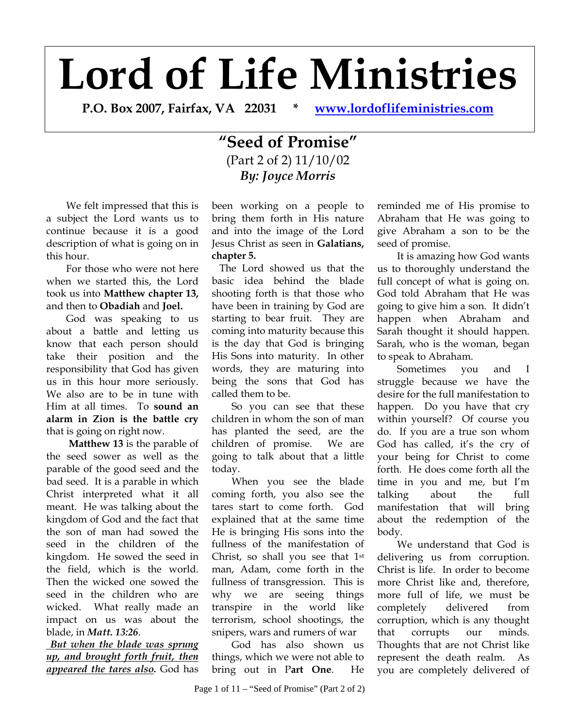# **Lord of Life Ministries**

**P.O. Box 2007, Fairfax, VA 22031 \* [www.lordoflifeministries.com](http://www.lordoflifeministries.com/)**

# **"Seed of Promise"**  (Part 2 of 2) 11/10/02 *By: Joyce Morris*

We felt impressed that this is a subject the Lord wants us to continue because it is a good description of what is going on in this hour.

 For those who were not here when we started this, the Lord took us into **Matthew chapter 13,**  and then to **Obadiah** and **Joel.** 

 God was speaking to us about a battle and letting us know that each person should take their position and the responsibility that God has given us in this hour more seriously. We also are to be in tune with Him at all times. To **sound an alarm in Zion is the battle cry**  that is going on right now.

 **Matthew 13** is the parable of the seed sower as well as the parable of the good seed and the bad seed. It is a parable in which Christ interpreted what it all meant. He was talking about the kingdom of God and the fact that the son of man had sowed the seed in the children of the kingdom. He sowed the seed in the field, which is the world. Then the wicked one sowed the seed in the children who are wicked. What really made an impact on us was about the blade, in *Matt. 13:26*.

 *But when the blade was sprung up, and brought forth fruit, then appeared the tares also.* God has

been working on a people to bring them forth in His nature and into the image of the Lord Jesus Christ as seen in **Galatians, chapter 5.** 

 The Lord showed us that the basic idea behind the blade shooting forth is that those who have been in training by God are starting to bear fruit. They are coming into maturity because this is the day that God is bringing His Sons into maturity. In other words, they are maturing into being the sons that God has called them to be.

 So you can see that these children in whom the son of man has planted the seed, are the children of promise. We are going to talk about that a little today.

 When you see the blade coming forth, you also see the tares start to come forth. God explained that at the same time He is bringing His sons into the fullness of the manifestation of Christ, so shall you see that 1st man, Adam, come forth in the fullness of transgression. This is why we are seeing things transpire in the world like terrorism, school shootings, the snipers, wars and rumers of war

 God has also shown us things, which we were not able to bring out in P**art One**. He

reminded me of His promise to Abraham that He was going to give Abraham a son to be the seed of promise.

 It is amazing how God wants us to thoroughly understand the full concept of what is going on. God told Abraham that He was going to give him a son. It didn't happen when Abraham and Sarah thought it should happen. Sarah, who is the woman, began to speak to Abraham.

 Sometimes you and I struggle because we have the desire for the full manifestation to happen. Do you have that cry within yourself? Of course you do. If you are a true son whom God has called, it's the cry of your being for Christ to come forth. He does come forth all the time in you and me, but I'm talking about the full manifestation that will bring about the redemption of the body.

 We understand that God is delivering us from corruption. Christ is life. In order to become more Christ like and, therefore, more full of life, we must be completely delivered from corruption, which is any thought that corrupts our minds. Thoughts that are not Christ like represent the death realm. As you are completely delivered of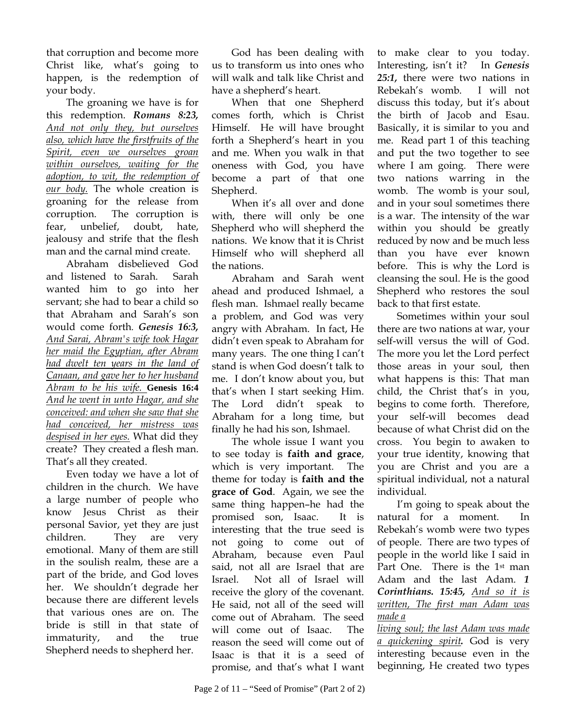that corruption and become more Christ like, what's going to happen, is the redemption of your body.

 The groaning we have is for this redemption. *Romans 8:23, And not only they, but ourselves also, which have the firstfruits of the Spirit, even we ourselves groan within ourselves, waiting for the adoption, to wit, the redemption of our body.* The whole creation is groaning for the release from corruption. The corruption is fear, unbelief, doubt, hate, jealousy and strife that the flesh man and the carnal mind create.

Abraham disbelieved God and listened to Sarah. Sarah wanted him to go into her servant; she had to bear a child so that Abraham and Sarah's son would come forth. *Genesis 16:3, And Sarai, Abram's wife took Hagar her maid the Egyptian, after Abram had dwelt ten years in the land of Canaan, and gave her to her husband Abram to be his wife.* **Genesis 16:4**  *And he went in unto Hagar, and she conceived: and when she saw that she had conceived, her mistress was despised in her eyes.* What did they create? They created a flesh man. That's all they created.

 Even today we have a lot of children in the church. We have a large number of people who know Jesus Christ as their personal Savior, yet they are just children. They are very emotional. Many of them are still in the soulish realm, these are a part of the bride, and God loves her. We shouldn't degrade her because there are different levels that various ones are on. The bride is still in that state of immaturity, and the true Shepherd needs to shepherd her.

God has been dealing with us to transform us into ones who will walk and talk like Christ and have a shepherd's heart.

When that one Shepherd comes forth, which is Christ Himself. He will have brought forth a Shepherd's heart in you and me. When you walk in that oneness with God, you have become a part of that one Shepherd.

 When it's all over and done with, there will only be one Shepherd who will shepherd the nations. We know that it is Christ Himself who will shepherd all the nations.

 Abraham and Sarah went ahead and produced Ishmael, a flesh man. Ishmael really became a problem, and God was very angry with Abraham. In fact, He didn't even speak to Abraham for many years. The one thing I can't stand is when God doesn't talk to me. I don't know about you, but that's when I start seeking Him. The Lord didn't speak to Abraham for a long time, but finally he had his son, Ishmael.

 The whole issue I want you to see today is **faith and grace**, which is very important. The theme for today is **faith and the grace of God**. Again, we see the same thing happen–he had the promised son, Isaac. It is interesting that the true seed is not going to come out of Abraham, because even Paul said, not all are Israel that are Israel. Not all of Israel will receive the glory of the covenant. He said, not all of the seed will come out of Abraham. The seed will come out of Isaac. The reason the seed will come out of Isaac is that it is a seed of promise, and that's what I want

to make clear to you today. Interesting, isn't it? In *Genesis 25:1,* there were two nations in Rebekah's womb. I will not discuss this today, but it's about the birth of Jacob and Esau. Basically, it is similar to you and me. Read part 1 of this teaching and put the two together to see where I am going. There were two nations warring in the womb. The womb is your soul, and in your soul sometimes there is a war. The intensity of the war within you should be greatly reduced by now and be much less than you have ever known before. This is why the Lord is cleansing the soul. He is the good Shepherd who restores the soul back to that first estate.

 Sometimes within your soul there are two nations at war, your self-will versus the will of God. The more you let the Lord perfect those areas in your soul, then what happens is this: That man child, the Christ that's in you, begins to come forth. Therefore, your self-will becomes dead because of what Christ did on the cross. You begin to awaken to your true identity, knowing that you are Christ and you are a spiritual individual, not a natural individual.

 I'm going to speak about the natural for a moment. Rebekah's womb were two types of people. There are two types of people in the world like I said in Part One. There is the 1<sup>st</sup> man Adam and the last Adam. *1 Corinthians. 15:45, And so it is written, The first man Adam was made a* 

*living soul; the last Adam was made a quickening spirit.* God is very interesting because even in the beginning, He created two types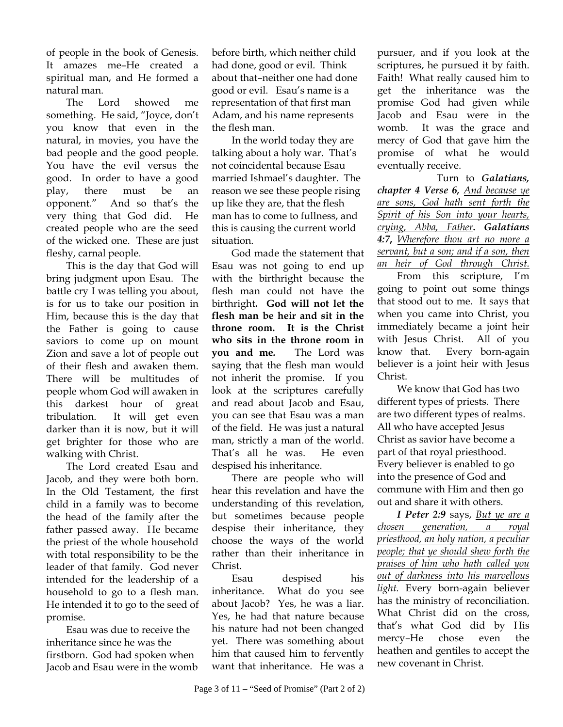of people in the book of Genesis. It amazes me–He created a spiritual man, and He formed a natural man.

 The Lord showed me something. He said, "Joyce, don't you know that even in the natural, in movies, you have the bad people and the good people. You have the evil versus the good. In order to have a good play, there must be an opponent." And so that's the very thing that God did. He created people who are the seed of the wicked one. These are just fleshy, carnal people.

 This is the day that God will bring judgment upon Esau. The battle cry I was telling you about, is for us to take our position in Him, because this is the day that the Father is going to cause saviors to come up on mount Zion and save a lot of people out of their flesh and awaken them. There will be multitudes of people whom God will awaken in this darkest hour of great tribulation. It will get even darker than it is now, but it will get brighter for those who are walking with Christ.

 The Lord created Esau and Jacob, and they were both born. In the Old Testament, the first child in a family was to become the head of the family after the father passed away. He became the priest of the whole household with total responsibility to be the leader of that family. God never intended for the leadership of a household to go to a flesh man. He intended it to go to the seed of promise.

Esau was due to receive the inheritance since he was the firstborn. God had spoken when Jacob and Esau were in the womb before birth, which neither child had done, good or evil. Think about that–neither one had done good or evil. Esau's name is a representation of that first man Adam, and his name represents the flesh man.

 In the world today they are talking about a holy war. That's not coincidental because Esau married Ishmael's daughter. The reason we see these people rising up like they are, that the flesh man has to come to fullness, and this is causing the current world situation.

 God made the statement that Esau was not going to end up with the birthright because the flesh man could not have the birthright**. God will not let the flesh man be heir and sit in the throne room. It is the Christ who sits in the throne room in you and me***.* The Lord was saying that the flesh man would not inherit the promise. If you look at the scriptures carefully and read about Jacob and Esau, you can see that Esau was a man of the field. He was just a natural man, strictly a man of the world. That's all he was. He even despised his inheritance.

 There are people who will hear this revelation and have the understanding of this revelation, but sometimes because people despise their inheritance, they choose the ways of the world rather than their inheritance in Christ.

Esau despised his inheritance. What do you see about Jacob? Yes, he was a liar. Yes, he had that nature because his nature had not been changed yet. There was something about him that caused him to fervently want that inheritance. He was a pursuer, and if you look at the scriptures, he pursued it by faith. Faith! What really caused him to get the inheritance was the promise God had given while Jacob and Esau were in the womb. It was the grace and mercy of God that gave him the promise of what he would eventually receive.

 Turn to *Galatians, chapter 4 Verse 6, And because ye are sons, God hath sent forth the Spirit of his Son into your hearts, crying, Abba, Father***.** *Galatians 4:7***,** *Wherefore thou art no more a servant, but a son; and if a son, then an heir of God through Christ.*

From this scripture, I'm going to point out some things that stood out to me. It says that when you came into Christ, you immediately became a joint heir with Jesus Christ. All of you know that. Every born-again believer is a joint heir with Jesus Christ.

We know that God has two different types of priests. There are two different types of realms. All who have accepted Jesus Christ as savior have become a part of that royal priesthood. Every believer is enabled to go into the presence of God and commune with Him and then go out and share it with others.

*I Peter 2:9* says, *But ye are a chosen generation, a royal priesthood, an holy nation, a peculiar people; that ye should shew forth the praises of him who hath called you out of darkness into his marvellous light.* Every born-again believer has the ministry of reconciliation. What Christ did on the cross, that's what God did by His mercy–He chose even the heathen and gentiles to accept the new covenant in Christ.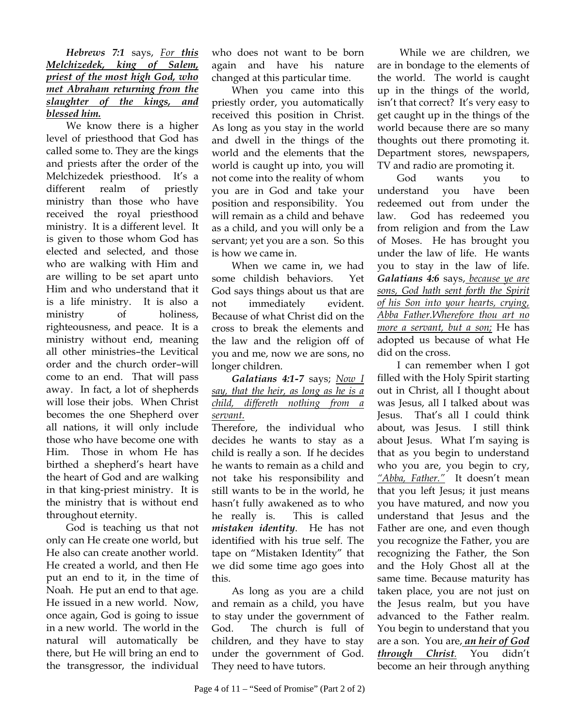#### *Hebrews 7:1* says, *For this Melchizedek, king of Salem, priest of the most high God, who met Abraham returning from the slaughter of the kings, and blessed him.*

 We know there is a higher level of priesthood that God has called some to. They are the kings and priests after the order of the Melchizedek priesthood. It's a different realm of priestly ministry than those who have received the royal priesthood ministry. It is a different level. It is given to those whom God has elected and selected, and those who are walking with Him and are willing to be set apart unto Him and who understand that it is a life ministry. It is also a ministry of holiness, righteousness, and peace. It is a ministry without end, meaning all other ministries–the Levitical order and the church order–will come to an end. That will pass away. In fact, a lot of shepherds will lose their jobs. When Christ becomes the one Shepherd over all nations, it will only include those who have become one with Him. Those in whom He has birthed a shepherd's heart have the heart of God and are walking in that king-priest ministry. It is the ministry that is without end throughout eternity.

 God is teaching us that not only can He create one world, but He also can create another world. He created a world, and then He put an end to it, in the time of Noah. He put an end to that age. He issued in a new world. Now, once again, God is going to issue in a new world. The world in the natural will automatically be there, but He will bring an end to the transgressor, the individual

who does not want to be born again and have his nature changed at this particular time.

 When you came into this priestly order, you automatically received this position in Christ. As long as you stay in the world and dwell in the things of the world and the elements that the world is caught up into, you will not come into the reality of whom you are in God and take your position and responsibility. You will remain as a child and behave as a child, and you will only be a servant; yet you are a son. So this is how we came in.

 When we came in, we had some childish behaviors. Yet God says things about us that are not immediately evident. Because of what Christ did on the cross to break the elements and the law and the religion off of you and me, now we are sons, no longer children.

#### *Galatians 4:1-7* says; *Now I say, that the heir, as long as he is a child, differeth nothing from a servant.*

Therefore, the individual who decides he wants to stay as a child is really a son. If he decides he wants to remain as a child and not take his responsibility and still wants to be in the world, he hasn't fully awakened as to who he really is. This is called *mistaken identity*. He has not identified with his true self. The tape on "Mistaken Identity" that we did some time ago goes into this.

 As long as you are a child and remain as a child, you have to stay under the government of God. The church is full of children, and they have to stay under the government of God. They need to have tutors.

 While we are children, we are in bondage to the elements of the world. The world is caught up in the things of the world, isn't that correct? It's very easy to get caught up in the things of the world because there are so many thoughts out there promoting it. Department stores, newspapers, TV and radio are promoting it.

 God wants you to understand you have been redeemed out from under the law. God has redeemed you from religion and from the Law of Moses. He has brought you under the law of life. He wants you to stay in the law of life. *Galatians 4:6* says, *because ye are sons, God hath sent forth the Spirit of his Son into your hearts, crying, Abba Father.Wherefore thou art no more a servant, but a son;* He has adopted us because of what He did on the cross.

 I can remember when I got filled with the Holy Spirit starting out in Christ, all I thought about was Jesus, all I talked about was Jesus. That's all I could think about, was Jesus. I still think about Jesus. What I'm saying is that as you begin to understand who you are, you begin to cry, *"Abba, Father."* It doesn't mean that you left Jesus; it just means you have matured, and now you understand that Jesus and the Father are one, and even though you recognize the Father, you are recognizing the Father, the Son and the Holy Ghost all at the same time. Because maturity has taken place, you are not just on the Jesus realm, but you have advanced to the Father realm. You begin to understand that you are a son. You are, *an heir of God through Christ.* You didn't become an heir through anything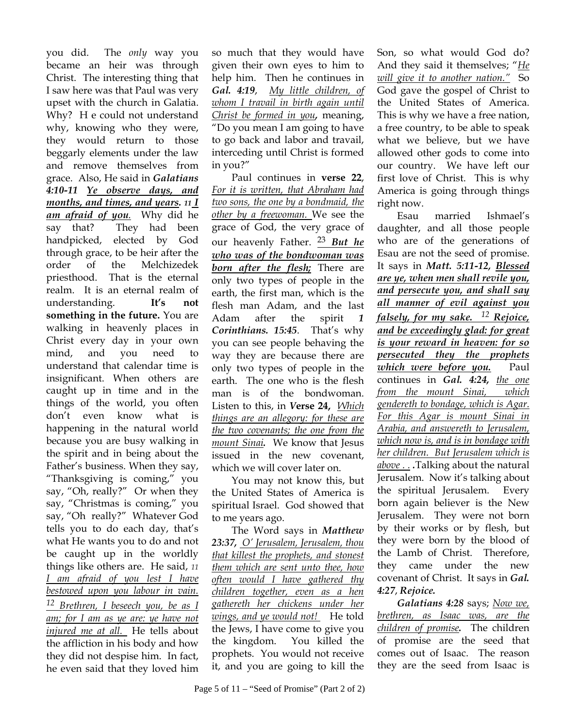you did. The *only* way you became an heir was through Christ. The interesting thing that I saw here was that Paul was very upset with the church in Galatia. Why? H e could not understand why, knowing who they were, they would return to those beggarly elements under the law and remove themselves from grace. Also, He said in *Galatians 4:10-11 Ye observe days, and months, and times, and years. 11 I am afraid of you.* Why did he say that? They had been handpicked, elected by God through grace, to be heir after the order of the Melchizedek priesthood. That is the eternal realm. It is an eternal realm of understanding. **It's not something in the future.** You are walking in heavenly places in Christ every day in your own mind, and you need to understand that calendar time is insignificant. When others are caught up in time and in the things of the world, you often don't even know what is happening in the natural world because you are busy walking in the spirit and in being about the Father's business. When they say, "Thanksgiving is coming," you say, "Oh, really?" Or when they say, "Christmas is coming," you say, "Oh really?" Whatever God tells you to do each day, that's what He wants you to do and not be caught up in the worldly things like others are. He said, *11 I am afraid of you lest I have bestowed upon you labour in vain. 12 Brethren, I beseech you, be as I am; for I am as ye are: ye have not injured me at all.* He tells about the affliction in his body and how they did not despise him. In fact, he even said that they loved him

so much that they would have given their own eyes to him to help him. Then he continues in *Gal. 4:19*, *My little children, of whom I travail in birth again until Christ be formed in you,* meaning, "Do you mean I am going to have to go back and labor and travail, interceding until Christ is formed in you?"

 Paul continues in **verse 22**, *For it is written, that Abraham had two sons, the one by a bondmaid, the other by a freewoman.* We see the grace of God, the very grace of our heavenly Father. 23 *But he who was of the bondwoman was born after the flesh;* There are only two types of people in the earth, the first man, which is the flesh man Adam, and the last Adam after the spirit *1 Corinthians. 15:45*. That's why you can see people behaving the way they are because there are only two types of people in the earth. The one who is the flesh man is of the bondwoman. Listen to this, in *V***erse 24,** *Which things are an allegory: for these are the two covenants; the one from the mount Sinai.* We know that Jesus issued in the new covenant, which we will cover later on.

 You may not know this, but the United States of America is spiritual Israel. God showed that to me years ago.

 The Word says in *Matthew 23:37, O' Jerusalem, Jerusalem, thou that killest the prophets, and stonest them which are sent unto thee, how often would I have gathered thy children together, even as a hen gathereth her chickens under her wings, and ye would not!* He told the Jews, I have come to give you the kingdom. You killed the prophets. You would not receive it, and you are going to kill the

Son, so what would God do? And they said it themselves; "*He will give it to another nation."* So God gave the gospel of Christ to the United States of America. This is why we have a free nation, a free country, to be able to speak what we believe, but we have allowed other gods to come into our country. We have left our first love of Christ. This is why America is going through things right now.

 Esau married Ishmael's daughter, and all those people who are of the generations of Esau are not the seed of promise. It says in *Matt. 5:11-12, Blessed are ye, when men shall revile you, and persecute you, and shall say all manner of evil against you falsely, for my sake. 12 Rejoice, and be exceedingly glad: for great is your reward in heaven: for so persecuted they the prophets which were before you.* Paul continues in *Gal. 4:24, the one from the mount Sinai, which gendereth to bondage, which is Agar. For this Agar is mount Sinai in Arabia, and answereth to Jerusalem, which now is, and is in bondage with her children. But Jerusalem which is above . . .*Talking about the natural Jerusalem. Now it's talking about the spiritual Jerusalem. Every born again believer is the New Jerusalem. They were not born by their works or by flesh, but they were born by the blood of the Lamb of Christ. Therefore, they came under the new covenant of Christ. It says in *Gal. 4:27*, *Rejoice.*

*Galatians 4:28* says; *Now we, brethren, as Isaac was, are the children of promise.* The children of promise are the seed that comes out of Isaac. The reason they are the seed from Isaac is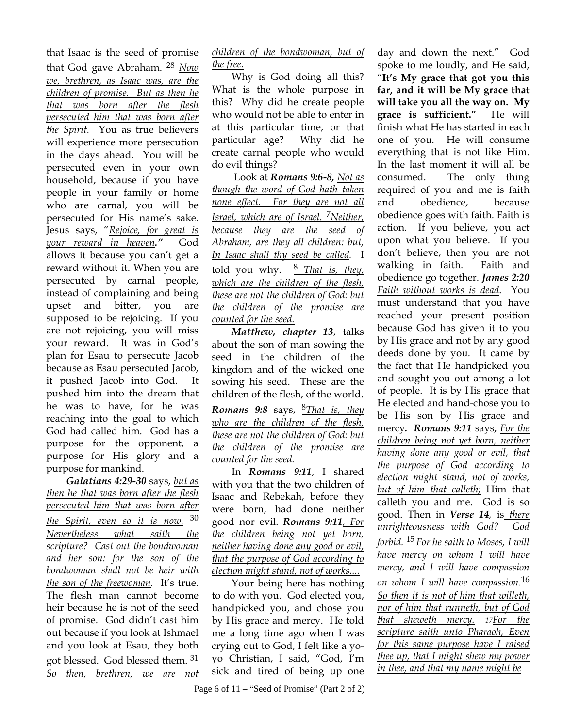that Isaac is the seed of promise that God gave Abraham. <sup>28</sup> *Now we, brethren, as Isaac was, are the children of promise. But as then he that was born after the flesh persecuted him that was born after the Spirit.* You as true believers will experience more persecution in the days ahead. You will be persecuted even in your own household, because if you have people in your family or home who are carnal, you will be persecuted for His name's sake. Jesus says, "*Rejoice, for great is your reward in heaven."* God allows it because you can't get a reward without it. When you are persecuted by carnal people, instead of complaining and being upset and bitter, you are supposed to be rejoicing. If you are not rejoicing, you will miss your reward. It was in God's plan for Esau to persecute Jacob because as Esau persecuted Jacob, it pushed Jacob into God. It pushed him into the dream that he was to have, for he was reaching into the goal to which God had called him. God has a purpose for the opponent, a purpose for His glory and a purpose for mankind.

*Galatians 4:29-30* says, *but as then he that was born after the flesh persecuted him that was born after the Spirit, even so it is now.* <sup>30</sup> *Nevertheless what saith the scripture? Cast out the bondwoman and her son: for the son of the bondwoman shall not be heir with the son of the freewoman.* It's true. The flesh man cannot become heir because he is not of the seed of promise. God didn't cast him out because if you look at Ishmael and you look at Esau, they both got blessed. God blessed them. <sup>31</sup> *So then, brethren, we are not* 

*children of the bondwoman, but of the free.*

 Why is God doing all this? What is the whole purpose in this? Why did he create people who would not be able to enter in at this particular time, or that particular age? Why did he create carnal people who would do evil things?

 Look at *Romans 9:6-8, Not as though the word of God hath taken none effect. For they are not all Israel, which are of Israel.* 7*Neither, because they are the seed of Abraham, are they all children: but, In Isaac shall thy seed be called.* I told you why. <sup>8</sup> *That is, they, which are the children of the flesh, these are not the children of God: but the children of the promise are counted for the seed.*

*Matthew, chapter 13*, talks about the son of man sowing the seed in the children of the kingdom and of the wicked one sowing his seed. These are the children of the flesh, of the world. *Romans 9:8* says, 8*That is, they who are the children of the flesh, these are not the children of God: but the children of the promise are counted for the seed.*

In *Romans 9:11*, I shared with you that the two children of Isaac and Rebekah, before they were born, had done neither good nor evil. *Romans 9:11, For the children being not yet born, neither having done any good or evil, that the purpose of God according to election might stand, not of works....* 

 Your being here has nothing to do with you. God elected you, handpicked you, and chose you by His grace and mercy. He told me a long time ago when I was crying out to God, I felt like a yoyo Christian, I said, "God, I'm sick and tired of being up one

day and down the next." God spoke to me loudly, and He said, "**It's My grace that got you this far, and it will be My grace that will take you all the way on. My grace is sufficient."** He will finish what He has started in each one of you. He will consume everything that is not like Him. In the last moment it will all be consumed. The only thing required of you and me is faith and obedience, because obedience goes with faith. Faith is action. If you believe, you act upon what you believe. If you don't believe, then you are not walking in faith. Faith and obedience go together. *James 2:20 Faith without works is dead*. You must understand that you have reached your present position because God has given it to you by His grace and not by any good deeds done by you. It came by the fact that He handpicked you and sought you out among a lot of people. It is by His grace that He elected and hand-chose you to be His son by His grace and mercy*. Romans 9:11* says, *For the children being not yet born, neither having done any good or evil, that the purpose of God according to election might stand, not of works, but of him that calleth;* Him that calleth you and me. God is so good. Then in *Verse 14,* is *there unrighteousness with God? God forbid.* <sup>15</sup> *For he saith to Moses, I will have mercy on whom I will have mercy, and I will have compassion on whom I will have compassion.* 16 *So then it is not of him that willeth, nor of him that runneth, but of God that sheweth mercy. 17For the scripture saith unto Pharaoh, Even for this same purpose have I raised thee up, that I might shew my power in thee, and that my name might be*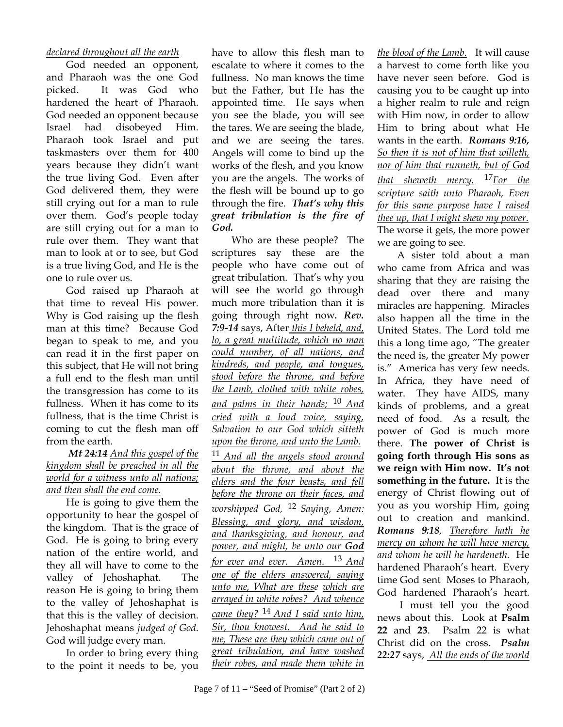## *declared throughout all the earth*

God needed an opponent, and Pharaoh was the one God picked. It was God who hardened the heart of Pharaoh. God needed an opponent because Israel had disobeyed Him. Pharaoh took Israel and put taskmasters over them for 400 years because they didn't want the true living God. Even after God delivered them, they were still crying out for a man to rule over them. God's people today are still crying out for a man to rule over them. They want that man to look at or to see, but God is a true living God, and He is the one to rule over us.

 God raised up Pharaoh at that time to reveal His power. Why is God raising up the flesh man at this time? Because God began to speak to me, and you can read it in the first paper on this subject, that He will not bring a full end to the flesh man until the transgression has come to its fullness. When it has come to its fullness, that is the time Christ is coming to cut the flesh man off from the earth.

## *Mt 24:14 And this gospel of the kingdom shall be preached in all the world for a witness unto all nations; and then shall the end come.*

 He is going to give them the opportunity to hear the gospel of the kingdom. That is the grace of God. He is going to bring every nation of the entire world, and they all will have to come to the valley of Jehoshaphat. The reason He is going to bring them to the valley of Jehoshaphat is that this is the valley of decision. Jehoshaphat means *judged of God*. God will judge every man.

 In order to bring every thing to the point it needs to be, you

have to allow this flesh man to escalate to where it comes to the fullness. No man knows the time but the Father, but He has the appointed time. He says when you see the blade, you will see the tares. We are seeing the blade, and we are seeing the tares. Angels will come to bind up the works of the flesh, and you know you are the angels. The works of the flesh will be bound up to go through the fire. *That's why this great tribulation is the fire of God.*

 Who are these people? The scriptures say these are the people who have come out of great tribulation. That's why you will see the world go through much more tribulation than it is going through right now*. Rev. 7:9-14* says, After *this I beheld, and, lo, a great multitude, which no man could number, of all nations, and kindreds, and people, and tongues, stood before the throne, and before the Lamb, clothed with white robes, and palms in their hands;* <sup>10</sup> *And cried with a loud voice, saying, Salvation to our God which sitteth upon the throne, and unto the Lamb.*  <sup>11</sup> *And all the angels stood around about the throne, and about the elders and the four beasts, and fell before the throne on their faces, and worshipped God,* <sup>12</sup> *Saying, Amen: Blessing, and glory, and wisdom, and thanksgiving, and honour, and power, and might, be unto our God for ever and ever. Amen.* 13 *And one of the elders answered, saying unto me, What are these which are arrayed in white robes? And whence came they?* <sup>14</sup> *And I said unto him, Sir, thou knowest. And he said to me, These are they which came out of great tribulation, and have washed their robes, and made them white in* 

*the blood of the Lamb.* It will cause a harvest to come forth like you have never seen before. God is causing you to be caught up into a higher realm to rule and reign with Him now, in order to allow Him to bring about what He wants in the earth. *Romans 9:16, So then it is not of him that willeth, nor of him that runneth, but of God that sheweth mercy.* <sup>17</sup>*For the scripture saith unto Pharaoh, Even for this same purpose have I raised thee up, that I might shew my power*. The worse it gets, the more power we are going to see.

 A sister told about a man who came from Africa and was sharing that they are raising the dead over there and many miracles are happening. Miracles also happen all the time in the United States. The Lord told me this a long time ago, "The greater the need is, the greater My power is." America has very few needs. In Africa, they have need of water. They have AIDS, many kinds of problems, and a great need of food. As a result, the power of God is much more there. **The power of Christ is going forth through His sons as we reign with Him now. It's not something in the future.** It is the energy of Christ flowing out of you as you worship Him, going out to creation and mankind. *Romans 9:18, Therefore hath he mercy on whom he will have mercy, and whom he will he hardeneth.* He hardened Pharaoh's heart. Every time God sent Moses to Pharaoh, God hardened Pharaoh's heart.

 I must tell you the good news about this. Look at **Psalm 22** and **23**. Psalm 22 is what Christ did on the cross. *Psalm 22:27* says, *All the ends of the world*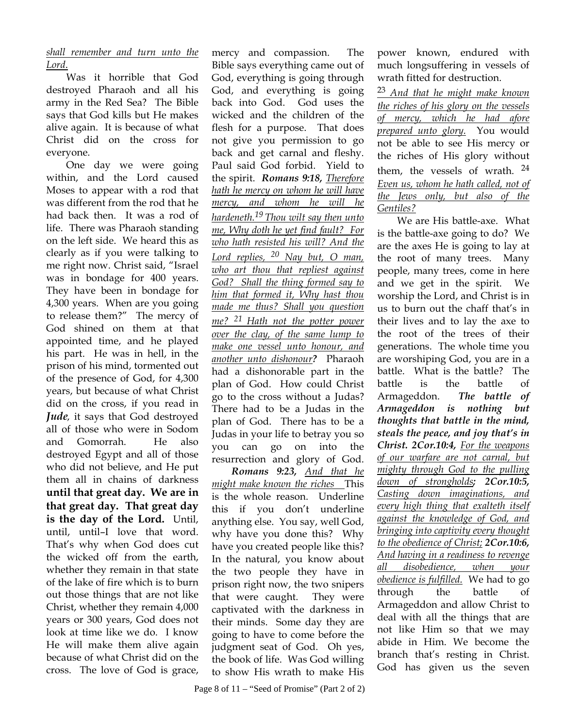*shall remember and turn unto the Lord*.

 Was it horrible that God destroyed Pharaoh and all his army in the Red Sea? The Bible says that God kills but He makes alive again. It is because of what Christ did on the cross for everyone.

 One day we were going within, and the Lord caused Moses to appear with a rod that was different from the rod that he had back then. It was a rod of life. There was Pharaoh standing on the left side. We heard this as clearly as if you were talking to me right now. Christ said, "Israel was in bondage for 400 years. They have been in bondage for 4,300 years. When are you going to release them?" The mercy of God shined on them at that appointed time, and he played his part. He was in hell, in the prison of his mind, tormented out of the presence of God, for 4,300 years, but because of what Christ did on the cross, if you read in *Jude,* it says that God destroyed all of those who were in Sodom and Gomorrah. He also destroyed Egypt and all of those who did not believe, and He put them all in chains of darkness **until that great day. We are in that great day. That great day is the day of the Lord.** Until, until, until–I love that word. That's why when God does cut the wicked off from the earth, whether they remain in that state of the lake of fire which is to burn out those things that are not like Christ, whether they remain 4,000 years or 300 years, God does not look at time like we do. I know He will make them alive again because of what Christ did on the cross. The love of God is grace,

mercy and compassion. The Bible says everything came out of God, everything is going through God, and everything is going back into God. God uses the wicked and the children of the flesh for a purpose. That does not give you permission to go back and get carnal and fleshy. Paul said God forbid. Yield to the spirit. *Romans 9:18, Therefore hath he mercy on whom he will have mercy, and whom he will he hardeneth.19 Thou wilt say then unto me, Why doth he yet find fault? For who hath resisted his will? And the Lord replies, 20 Nay but, O man, who art thou that repliest against God? Shall the thing formed say to him that formed it, Why hast thou made me thus? Shall you question me? <sup>21</sup> Hath not the potter power over the clay, of the same lump to make one vessel unto honour, and another unto dishonour?* Pharaoh had a dishonorable part in the plan of God. How could Christ go to the cross without a Judas? There had to be a Judas in the plan of God. There has to be a Judas in your life to betray you so you can go on into the resurrection and glory of God. *Romans 9:23, And that he might make known the riches* This is the whole reason. Underline this if you don't underline

anything else. You say, well God, why have you done this? Why have you created people like this? In the natural, you know about the two people they have in prison right now, the two snipers that were caught. They were captivated with the darkness in their minds. Some day they are going to have to come before the judgment seat of God. Oh yes, the book of life. Was God willing to show His wrath to make His

power known, endured with much longsuffering in vessels of wrath fitted for destruction.

<sup>23</sup> *And that he might make known the riches of his glory on the vessels of mercy, which he had afore prepared unto glory.* You would not be able to see His mercy or the riches of His glory without them, the vessels of wrath. <sup>24</sup> *Even us, whom he hath called, not of the Jews only, but also of the Gentiles?*

We are His battle-axe. What is the battle-axe going to do? We are the axes He is going to lay at the root of many trees. Many people, many trees, come in here and we get in the spirit. We worship the Lord, and Christ is in us to burn out the chaff that's in their lives and to lay the axe to the root of the trees of their generations. The whole time you are worshiping God, you are in a battle. What is the battle? The battle is the battle of Armageddon. *The battle of Armageddon is nothing but thoughts that battle in the mind, steals the peace, and joy that's in Christ. 2Cor.10:4, For the weapons of our warfare are not carnal, but mighty through God to the pulling down of strongholds; 2Cor.10:5, Casting down imaginations, and every high thing that exalteth itself against the knowledge of God, and bringing into captivity every thought to the obedience of Christ; 2Cor.10:6, And having in a readiness to revenge all disobedience, when your obedience is fulfilled.* We had to go through the battle of Armageddon and allow Christ to deal with all the things that are not like Him so that we may abide in Him. We become the branch that's resting in Christ. God has given us the seven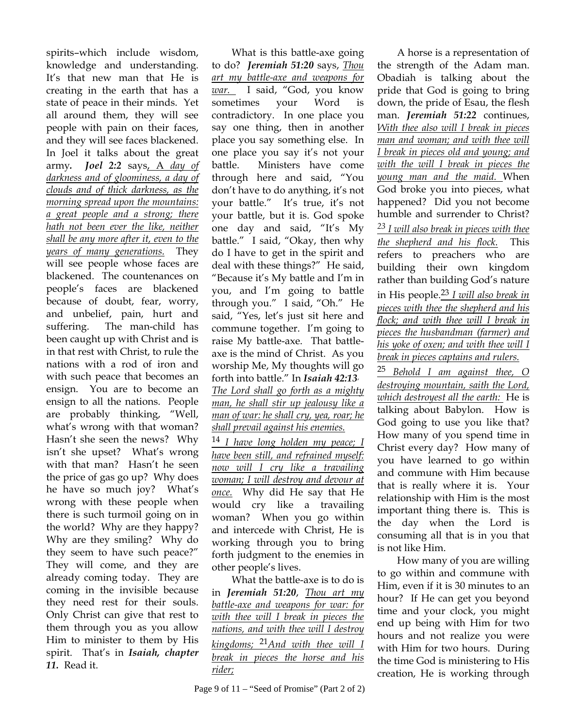spirits–which include wisdom, knowledge and understanding. It's that new man that He is creating in the earth that has a state of peace in their minds. Yet all around them, they will see people with pain on their faces, and they will see faces blackened. In Joel it talks about the great army*. Joel 2:2* says, A *day of darkness and of gloominess, a day of clouds and of thick darkness, as the morning spread upon the mountains: a great people and a strong; there hath not been ever the like, neither shall be any more after it, even to the years of many generations.* They will see people whose faces are blackened. The countenances on people's faces are blackened because of doubt, fear, worry, and unbelief, pain, hurt and suffering. The man-child has been caught up with Christ and is in that rest with Christ, to rule the nations with a rod of iron and with such peace that becomes an ensign. You are to become an ensign to all the nations. People are probably thinking, "Well, what's wrong with that woman? Hasn't she seen the news? Why isn't she upset? What's wrong with that man? Hasn't he seen the price of gas go up? Why does he have so much joy? What's wrong with these people when there is such turmoil going on in the world? Why are they happy? Why are they smiling? Why do they seem to have such peace?" They will come, and they are already coming today. They are coming in the invisible because they need rest for their souls. Only Christ can give that rest to them through you as you allow Him to minister to them by His spirit. That's in *Isaiah, chapter 11.* Read it.

 What is this battle-axe going to do? *Jeremiah 51:20* says, *Thou art my battle-axe and weapons for war.* I said, "God, you know sometimes your Word is contradictory. In one place you say one thing, then in another place you say something else. In one place you say it's not your battle. Ministers have come through here and said, "You don't have to do anything, it's not your battle." It's true, it's not your battle, but it is. God spoke one day and said, "It's My battle." I said, "Okay, then why do I have to get in the spirit and deal with these things?" He said, "Because it's My battle and I'm in you, and I'm going to battle through you." I said, "Oh." He said, "Yes, let's just sit here and commune together. I'm going to raise My battle-axe. That battleaxe is the mind of Christ. As you worship Me, My thoughts will go forth into battle." In *Isaiah 42:13*, *The Lord shall go forth as a mighty man, he shall stir up jealousy like a man of war: he shall cry, yea, roar; he shall prevail against his enemies.*

<sup>14</sup> *I have long holden my peace; I have been still, and refrained myself: now will I cry like a travailing woman; I will destroy and devour at once.* Why did He say that He would cry like a travailing woman? When you go within and intercede with Christ, He is working through you to bring forth judgment to the enemies in other people's lives.

 What the battle-axe is to do is in *Jeremiah 51:20*, *Thou art my battle-axe and weapons for war: for with thee will I break in pieces the nations, and with thee will I destroy kingdoms;* 21*And with thee will I break in pieces the horse and his rider;*

Page 9 of 11 – "Seed of Promise" (Part 2 of 2)

A horse is a representation of the strength of the Adam man. Obadiah is talking about the pride that God is going to bring down, the pride of Esau, the flesh man. *Jeremiah 51:22* continues, *With thee also will I break in pieces man and woman; and with thee will I break in pieces old and young; and with the will I break in pieces the young man and the maid.* When God broke you into pieces, what happened? Did you not become humble and surrender to Christ? *23 I will also break in pieces with thee the shepherd and his flock.* This refers to preachers who are building their own kingdom rather than building God's nature in His people.23 *I will also break in pieces with thee the shepherd and his flock; and with thee will I break in pieces the husbandman (farmer) and his yoke of oxen; and with thee will I break in pieces captains and rulers.*

<sup>25</sup> *Behold I am against thee, O destroying mountain, saith the Lord, which destroyest all the earth:* He is talking about Babylon. How is God going to use you like that? How many of you spend time in Christ every day? How many of you have learned to go within and commune with Him because that is really where it is. Your relationship with Him is the most important thing there is. This is the day when the Lord is consuming all that is in you that is not like Him.

 How many of you are willing to go within and commune with Him, even if it is 30 minutes to an hour? If He can get you beyond time and your clock, you might end up being with Him for two hours and not realize you were with Him for two hours. During the time God is ministering to His creation, He is working through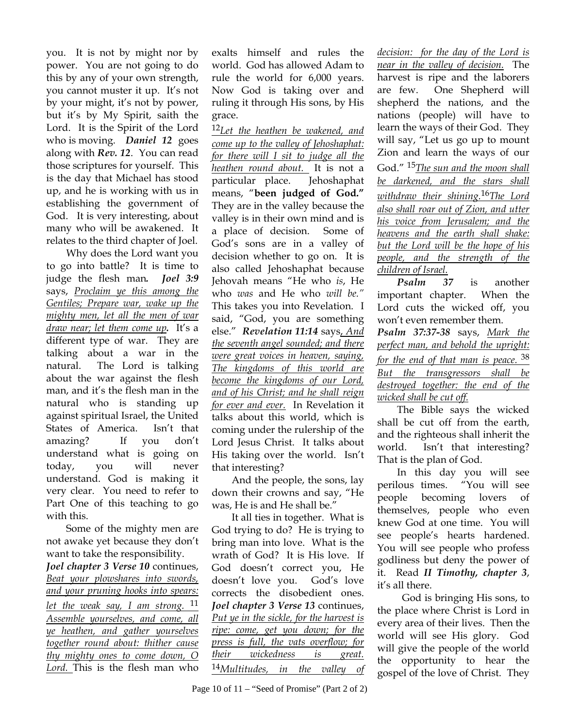you. It is not by might nor by power. You are not going to do this by any of your own strength, you cannot muster it up. It's not by your might, it's not by power, but it's by My Spirit, saith the Lord. It is the Spirit of the Lord who is moving. *Daniel 12* goes along with *Rev. 12*. You can read those scriptures for yourself. This is the day that Michael has stood up, and he is working with us in establishing the government of God. It is very interesting, about many who will be awakened. It relates to the third chapter of Joel.

 Why does the Lord want you to go into battle? It is time to judge the flesh man*. Joel 3:9* says, *Proclaim ye this among the Gentiles; Prepare war, wake up the mighty men, let all the men of war draw near; let them come up.* It's a different type of war. They are talking about a war in the natural. The Lord is talking about the war against the flesh man, and it's the flesh man in the natural who is standing up against spiritual Israel, the United States of America. Isn't that amazing? If you don't understand what is going on today, you will never understand. God is making it very clear. You need to refer to Part One of this teaching to go with this.

 Some of the mighty men are not awake yet because they don't want to take the responsibility. *Joel chapter 3 Verse 10* continues, *Beat your plowshares into swords, and your pruning hooks into spears: let the weak say, I am strong.* <sup>11</sup> *Assemble yourselves, and come, all ye heathen, and gather yourselves together round about: thither cause thy mighty ones to come down, O Lord.* This is the flesh man who

exalts himself and rules the world. God has allowed Adam to rule the world for 6,000 years. Now God is taking over and ruling it through His sons, by His grace.

<sup>12</sup>*Let the heathen be wakened, and come up to the valley of Jehoshaphat: for there will I sit to judge all the heathen round about.* It is not a particular place. Jehoshaphat means, "**been judged of God."** They are in the valley because the valley is in their own mind and is a place of decision. Some of God's sons are in a valley of decision whether to go on. It is also called Jehoshaphat because Jehovah means "He who *is*, He who *was* and He who *will be."*  This takes you into Revelation. I said, "God, you are something else." *Revelation 11:14* says, *And the seventh angel sounded; and there were great voices in heaven, saying, The kingdoms of this world are become the kingdoms of our Lord, and of his Christ; and he shall reign for ever and ever.* In Revelation it talks about this world, which is coming under the rulership of the Lord Jesus Christ. It talks about His taking over the world. Isn't that interesting?

 And the people, the sons, lay down their crowns and say, "He was, He is and He shall be."

 It all ties in together. What is God trying to do? He is trying to bring man into love. What is the wrath of God? It is His love. If God doesn't correct you, He doesn't love you. God's love corrects the disobedient ones. *Joel chapter 3 Verse 13* continues, *Put ye in the sickle, for the harvest is ripe: come, get you down; for the press is full, the vats overflow; for their wickedness is great.*  <sup>14</sup>*Multitudes, in the valley of* 

*decision: for the day of the Lord is near in the valley of decision.* The harvest is ripe and the laborers are few. One Shepherd will shepherd the nations, and the nations (people) will have to learn the ways of their God. They will say, "Let us go up to mount Zion and learn the ways of our God." 15*The sun and the moon shall be darkened, and the stars shall withdraw their shining.*16*The Lord also shall roar out of Zion, and utter his voice from Jerusalem; and the heavens and the earth shall shake: but the Lord will be the hope of his people, and the strength of the children of Israel.*

*Psalm 37* is another important chapter. When the Lord cuts the wicked off, you won't even remember them.

*Psalm 37:37-38* says, *Mark the perfect man, and behold the upright: for the end of that man is peace.*<sup>38</sup> *But the transgressors shall be destroyed together: the end of the wicked shall be cut off.*

The Bible says the wicked shall be cut off from the earth, and the righteous shall inherit the world. Isn't that interesting? That is the plan of God.

 In this day you will see perilous times. "You will see people becoming lovers of themselves, people who even knew God at one time. You will see people's hearts hardened. You will see people who profess godliness but deny the power of it. Read *II Timothy, chapter 3*, it's all there.

 God is bringing His sons, to the place where Christ is Lord in every area of their lives. Then the world will see His glory. God will give the people of the world the opportunity to hear the gospel of the love of Christ. They